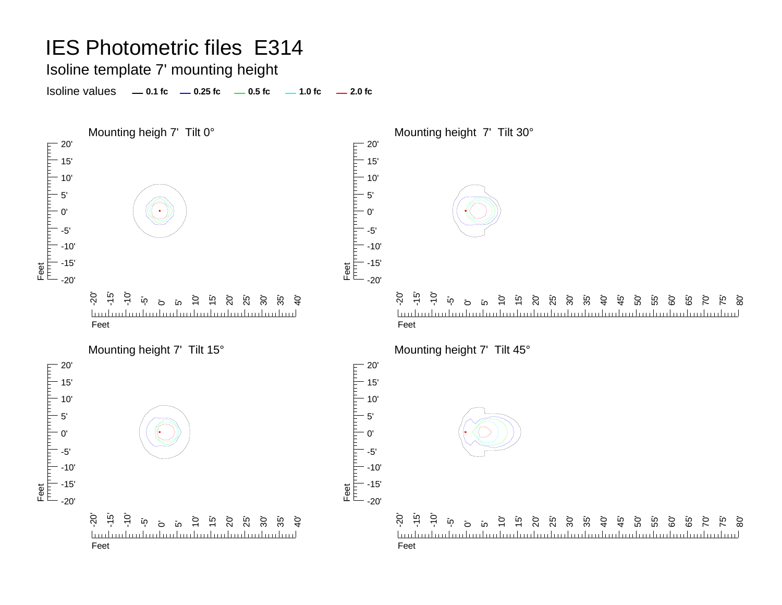Isoline template 7' mounting height

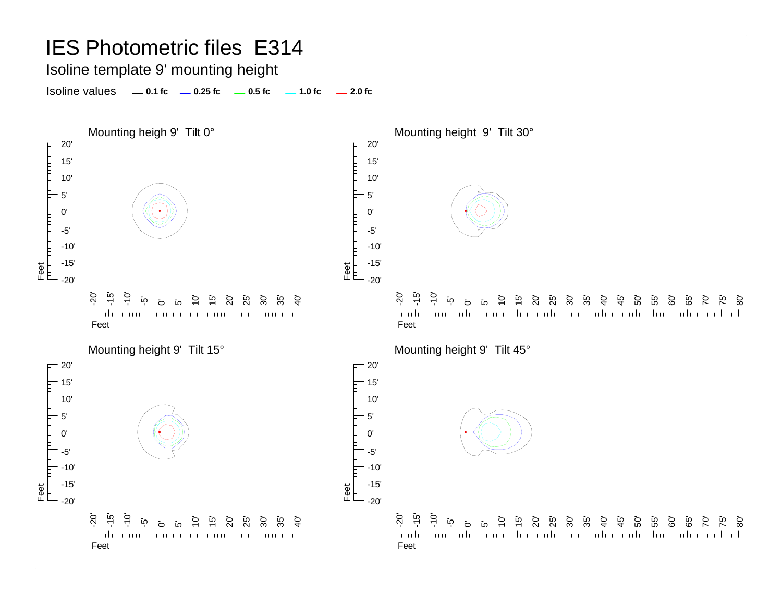Isoline template 9' mounting height

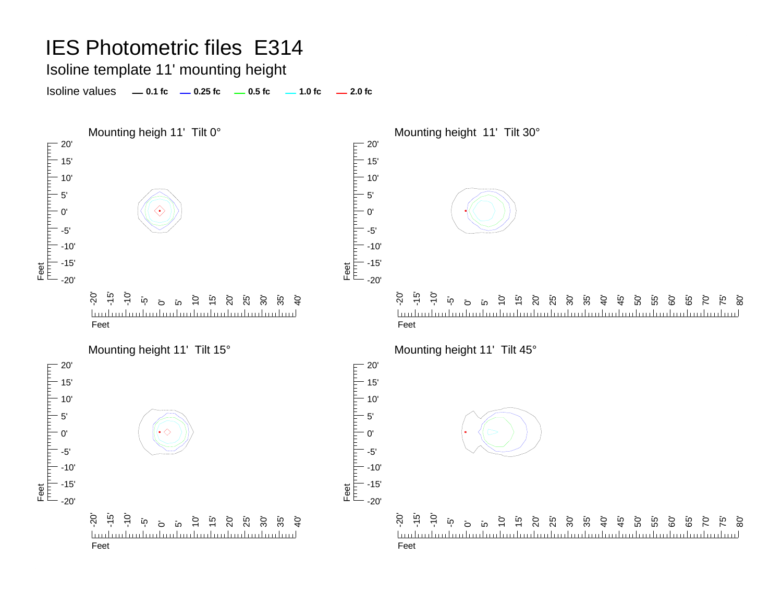Isoline template 11' mounting height

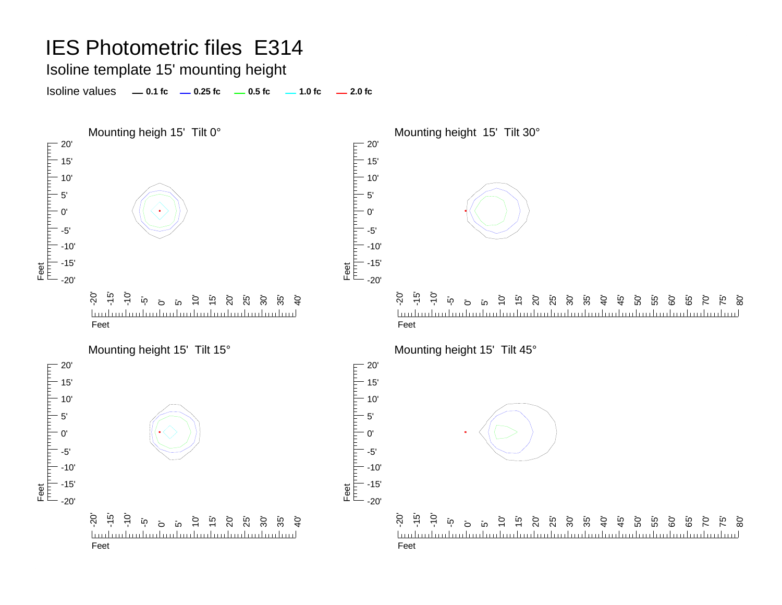Isoline template 15' mounting height

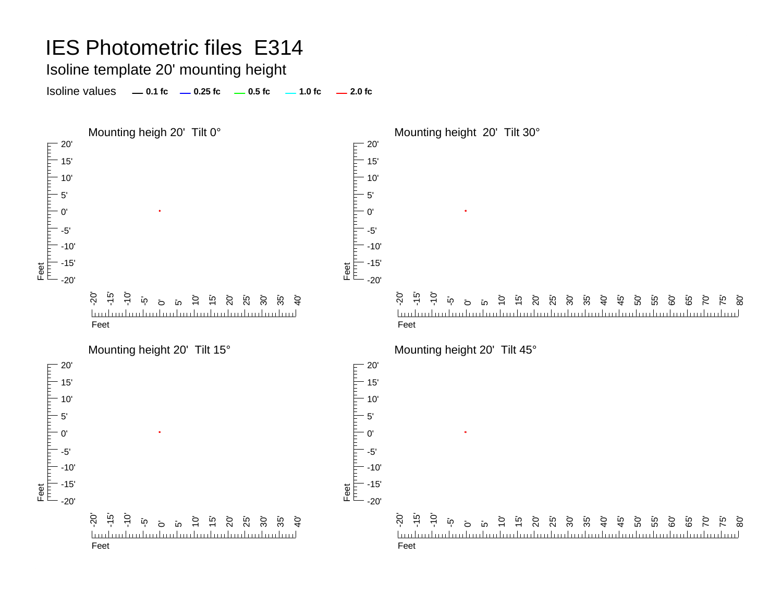#### IES Photometric files E314 Isoline template 20' mounting height Isoline values **0.1 fc 0.25 fc 0.5 fc 2.0 fc 1.0 fc** Mounting heigh 20' Tilt 0° and the monotonic method of Mounting height 20' Tilt 30°  $-20'$ 20' 15' 15' 10' 10' 5' 5' 0'0' Feet<br>|<sup>|||||</sup>|<sup>|||||</sup>||<sup>|||||</sup>| -5'-5' -10' -10' -15' -15' Feet  $-20'$ -20' $\overline{Q}$ -تة<br>--10' -20' -15' -10' 10'  $\overline{10}$ 15' 20' 25' 30' 35'  $\dot{a}$  $\overline{10}$  $\overline{c}$ <u>តេ ខែ ខែ ដូ ដូ ដូ</u> 40' 45' 50' 55' 60' 80'  $\sigma$ 5' 65' 70' 75' <u>huduubuduubuduubuduubuduubuduud</u> <u>luuluuluuluuluul</u> FeetFeetMounting height 20' Tilt 15° Mounting height 20' Tilt 45° 20' 20' F T FITTI  $-15'$ 15'10' 10'  $-5'$ 5' $\Omega'$ 0' -5' -5' -10' -10' -15' -15' Feet Feet -20' -20'

-آ<br>-7 -10' 10' 15' 0<br>25 <sup>2</sup>5 25 35'  $\mathcal{Q}$ .<br>קי <u>Inductualmated inductualmated inductual</u> Feet

-20'

Feet-20' -تە<br>--10' אָ דָיָם בְּחַקָּ בְּחָקָ בְּחָקָ 40' 45' 50' ה<br>55 60' ت<br>65  $\overline{C}$ 75' 80'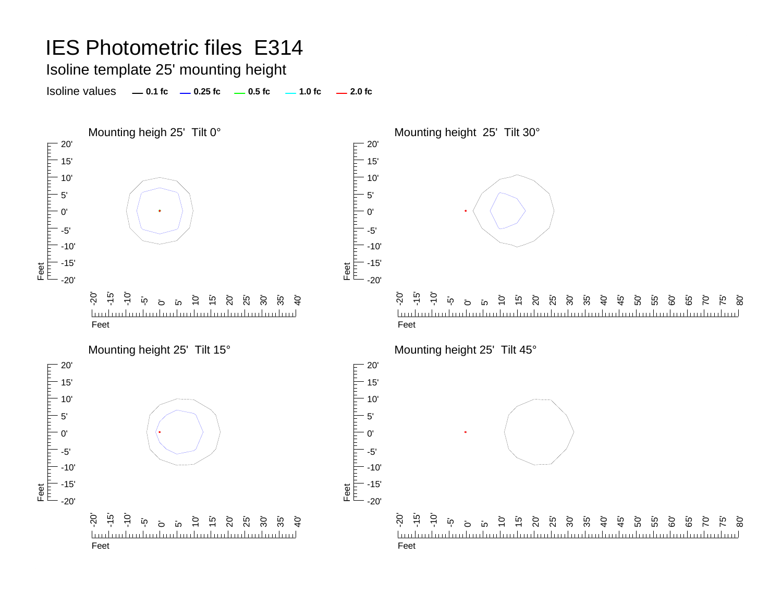Isoline template 25' mounting height